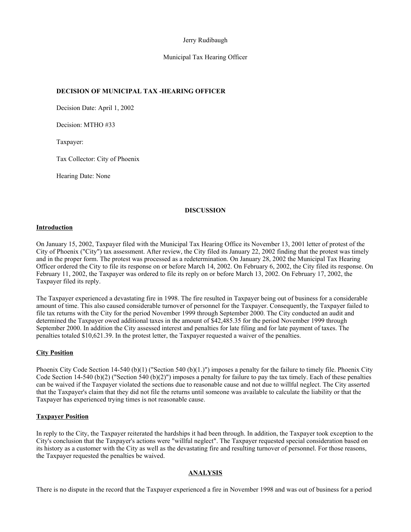## Jerry Rudibaugh

## Municipal Tax Hearing Officer

# **DECISION OF MUNICIPAL TAX -HEARING OFFICER**

Decision Date: April 1, 2002

Decision: MTHO #33

Taxpayer:

Tax Collector: City of Phoenix

Hearing Date: None

## **DISCUSSION**

#### **Introduction**

On January 15, 2002, Taxpayer filed with the Municipal Tax Hearing Office its November 13, 2001 letter of protest of the City of Phoenix ("City") tax assessment. After review, the City filed its January 22, 2002 finding that the protest was timely and in the proper form. The protest was processed as a redetermination. On January 28, 2002 the Municipal Tax Hearing Officer ordered the City to file its response on or before March 14, 2002. On February 6, 2002, the City filed its response. On February 11, 2002, the Taxpayer was ordered to file its reply on or before March 13, 2002. On February 17, 2002, the Taxpayer filed its reply.

The Taxpayer experienced a devastating fire in 1998. The fire resulted in Taxpayer being out of business for a considerable amount of time. This also caused considerable turnover of personnel for the Taxpayer. Consequently, the Taxpayer failed to file tax returns with the City for the period November 1999 through September 2000. The City conducted an audit and determined the Taxpayer owed additional taxes in the amount of \$42,485.35 for the period November 1999 through September 2000. In addition the City assessed interest and penalties for late filing and for late payment of taxes. The penalties totaled \$10,621.39. In the protest letter, the Taxpayer requested a waiver of the penalties.

## **City Position**

Phoenix City Code Section 14-540 (b)(1) ("Section 540 (b)(1.)") imposes a penalty for the failure to timely file. Phoenix City Code Section 14-540 (b)(2) ("Section 540 (b)(2)") imposes a penalty for failure to pay the tax timely. Each of these penalties can be waived if the Taxpayer violated the sections due to reasonable cause and not due to willful neglect. The City asserted that the Taxpayer's claim that they did not file the returns until someone was available to calculate the liability or that the Taxpayer has experienced trying times is not reasonable cause.

#### **Taxpayer Position**

In reply to the City, the Taxpayer reiterated the hardships it had been through. In addition, the Taxpayer took exception to the City's conclusion that the Taxpayer's actions were "willful neglect". The Taxpayer requested special consideration based on its history as a customer with the City as well as the devastating fire and resulting turnover of personnel. For those reasons, the Taxpayer requested the penalties be waived.

## **ANALYSIS**

There is no dispute in the record that the Taxpayer experienced a fire in November 1998 and was out of business for a period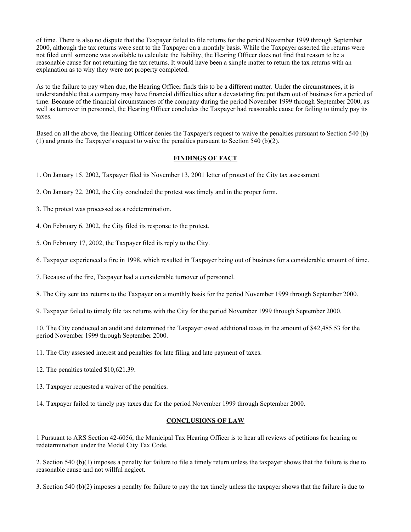of time. There is also no dispute that the Taxpayer failed to file returns for the period November 1999 through September 2000, although the tax returns were sent to the Taxpayer on a monthly basis. While the Taxpayer asserted the returns were not filed until someone was available to calculate the liability, the Hearing Officer does not find that reason to be a reasonable cause for not returning the tax returns. It would have been a simple matter to return the tax returns with an explanation as to why they were not property completed.

As to the failure to pay when due, the Hearing Officer finds this to be a different matter. Under the circumstances, it is understandable that a company may have financial difficulties after a devastating fire put them out of business for a period of time. Because of the financial circumstances of the company during the period November 1999 through September 2000, as well as turnover in personnel, the Hearing Officer concludes the Taxpayer had reasonable cause for failing to timely pay its taxes.

Based on all the above, the Hearing Officer denies the Taxpayer's request to waive the penalties pursuant to Section 540 (b) (1) and grants the Taxpayer's request to waive the penalties pursuant to Section 540 (b)(2).

## **FINDINGS OF FACT**

- 1. On January 15, 2002, Taxpayer filed its November 13, 2001 letter of protest of the City tax assessment.
- 2. On January 22, 2002, the City concluded the protest was timely and in the proper form.
- 3. The protest was processed as a redetermination.
- 4. On February 6, 2002, the City filed its response to the protest.
- 5. On February 17, 2002, the Taxpayer filed its reply to the City.
- 6. Taxpayer experienced a fire in 1998, which resulted in Taxpayer being out of business for a considerable amount of time.
- 7. Because of the fire, Taxpayer had a considerable turnover of personnel.
- 8. The City sent tax returns to the Taxpayer on a monthly basis for the period November 1999 through September 2000.
- 9. Taxpayer failed to timely file tax returns with the City for the period November 1999 through September 2000.

10. The City conducted an audit and determined the Taxpayer owed additional taxes in the amount of \$42,485.53 for the period November 1999 through September 2000.

- 11. The City assessed interest and penalties for late filing and late payment of taxes.
- 12. The penalties totaled \$10,621.39.
- 13. Taxpayer requested a waiver of the penalties.
- 14. Taxpayer failed to timely pay taxes due for the period November 1999 through September 2000.

#### **CONCLUSIONS OF LAW**

1 Pursuant to ARS Section 42-6056, the Municipal Tax Hearing Officer is to hear all reviews of petitions for hearing or redetermination under the Model City Tax Code.

2. Section 540 (b)(1) imposes a penalty for failure to file a timely return unless the taxpayer shows that the failure is due to reasonable cause and not willful neglect.

3. Section 540 (b)(2) imposes a penalty for failure to pay the tax timely unless the taxpayer shows that the failure is due to